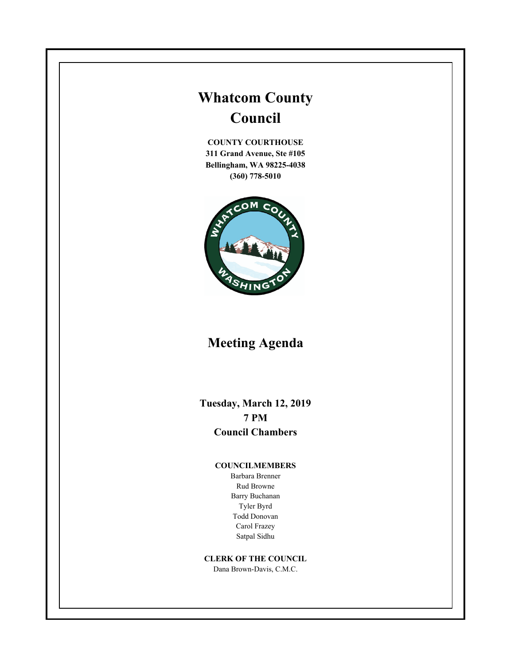# **Whatcom County Council**

**COUNTY COURTHOUSE 311 Grand Avenue, Ste #105 Bellingham, WA 98225-4038 (360) 778-5010**



# **Meeting Agenda**

**Tuesday, March 12, 2019 7 PM Council Chambers**

#### **COUNCILMEMBERS**

Barbara Brenner Rud Browne Barry Buchanan Tyler Byrd Todd Donovan Carol Frazey Satpal Sidhu

#### **CLERK OF THE COUNCIL**

Dana Brown-Davis, C.M.C.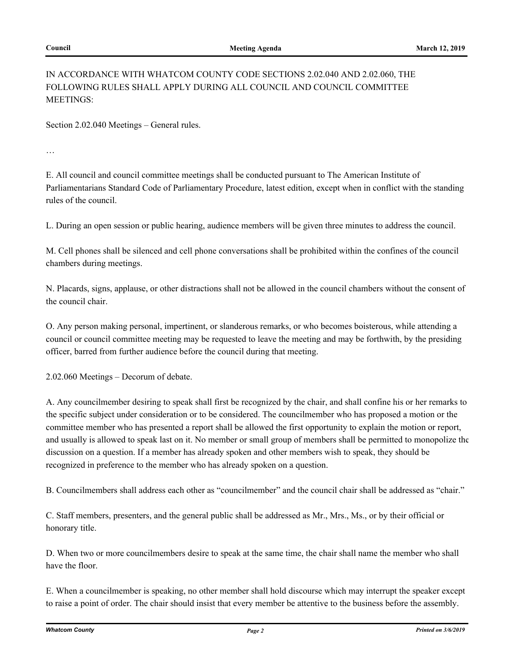### IN ACCORDANCE WITH WHATCOM COUNTY CODE SECTIONS 2.02.040 AND 2.02.060, THE FOLLOWING RULES SHALL APPLY DURING ALL COUNCIL AND COUNCIL COMMITTEE MEETINGS:

Section 2.02.040 Meetings – General rules.

…

E. All council and council committee meetings shall be conducted pursuant to The American Institute of Parliamentarians Standard Code of Parliamentary Procedure, latest edition, except when in conflict with the standing rules of the council.

L. During an open session or public hearing, audience members will be given three minutes to address the council.

M. Cell phones shall be silenced and cell phone conversations shall be prohibited within the confines of the council chambers during meetings.

N. Placards, signs, applause, or other distractions shall not be allowed in the council chambers without the consent of the council chair.

O. Any person making personal, impertinent, or slanderous remarks, or who becomes boisterous, while attending a council or council committee meeting may be requested to leave the meeting and may be forthwith, by the presiding officer, barred from further audience before the council during that meeting.

2.02.060 Meetings – Decorum of debate.

A. Any councilmember desiring to speak shall first be recognized by the chair, and shall confine his or her remarks to the specific subject under consideration or to be considered. The councilmember who has proposed a motion or the committee member who has presented a report shall be allowed the first opportunity to explain the motion or report, and usually is allowed to speak last on it. No member or small group of members shall be permitted to monopolize the discussion on a question. If a member has already spoken and other members wish to speak, they should be recognized in preference to the member who has already spoken on a question.

B. Councilmembers shall address each other as "councilmember" and the council chair shall be addressed as "chair."

C. Staff members, presenters, and the general public shall be addressed as Mr., Mrs., Ms., or by their official or honorary title.

D. When two or more councilmembers desire to speak at the same time, the chair shall name the member who shall have the floor.

E. When a councilmember is speaking, no other member shall hold discourse which may interrupt the speaker except to raise a point of order. The chair should insist that every member be attentive to the business before the assembly.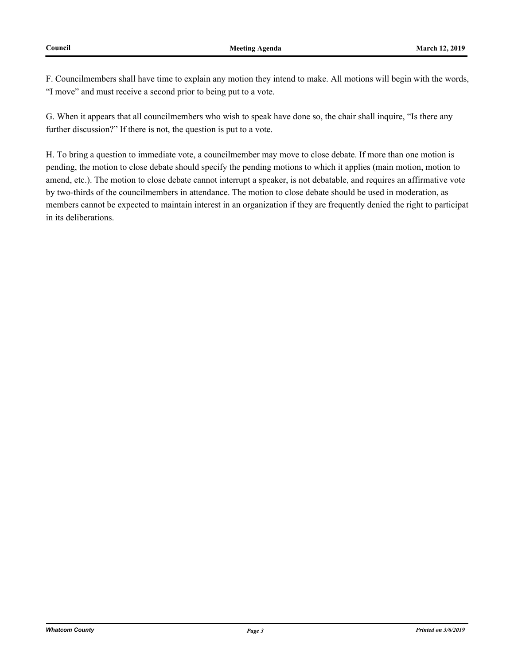F. Councilmembers shall have time to explain any motion they intend to make. All motions will begin with the words, "I move" and must receive a second prior to being put to a vote.

G. When it appears that all councilmembers who wish to speak have done so, the chair shall inquire, "Is there any further discussion?" If there is not, the question is put to a vote.

H. To bring a question to immediate vote, a councilmember may move to close debate. If more than one motion is pending, the motion to close debate should specify the pending motions to which it applies (main motion, motion to amend, etc.). The motion to close debate cannot interrupt a speaker, is not debatable, and requires an affirmative vote by two-thirds of the councilmembers in attendance. The motion to close debate should be used in moderation, as members cannot be expected to maintain interest in an organization if they are frequently denied the right to participat in its deliberations.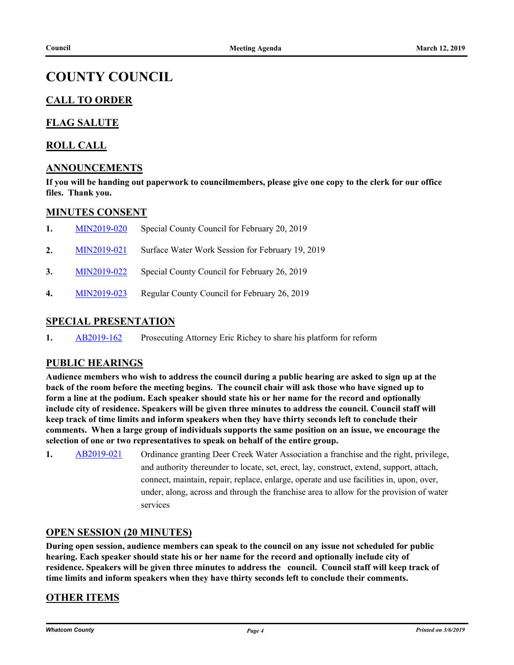## **COUNTY COUNCIL**

## **CALL TO ORDER**

### **FLAG SALUTE**

#### **ROLL CALL**

#### **ANNOUNCEMENTS**

**If you will be handing out paperwork to councilmembers, please give one copy to the clerk for our office files. Thank you.**

#### **MINUTES CONSENT**

| 1. | MIN2019-020 | Special County Council for February 20, 2019     |
|----|-------------|--------------------------------------------------|
| 2. | MIN2019-021 | Surface Water Work Session for February 19, 2019 |
| 3. | MIN2019-022 | Special County Council for February 26, 2019     |
| 4. | MIN2019-023 | Regular County Council for February 26, 2019     |

#### **SPECIAL PRESENTATION**

**1.** [AB2019-162](http://whatcom.legistar.com/gateway.aspx?m=l&id=/matter.aspx?key=2185) Prosecuting Attorney Eric Richey to share his platform for reform

#### **PUBLIC HEARINGS**

**Audience members who wish to address the council during a public hearing are asked to sign up at the back of the room before the meeting begins. The council chair will ask those who have signed up to form a line at the podium. Each speaker should state his or her name for the record and optionally include city of residence. Speakers will be given three minutes to address the council. Council staff will keep track of time limits and inform speakers when they have thirty seconds left to conclude their comments. When a large group of individuals supports the same position on an issue, we encourage the selection of one or two representatives to speak on behalf of the entire group.**

**1.** [AB2019-021](http://whatcom.legistar.com/gateway.aspx?m=l&id=/matter.aspx?key=2028) Ordinance granting Deer Creek Water Association a franchise and the right, privilege, and authority thereunder to locate, set, erect, lay, construct, extend, support, attach, connect, maintain, repair, replace, enlarge, operate and use facilities in, upon, over, under, along, across and through the franchise area to allow for the provision of water services

#### **OPEN SESSION (20 MINUTES)**

**During open session, audience members can speak to the council on any issue not scheduled for public hearing. Each speaker should state his or her name for the record and optionally include city of residence. Speakers will be given three minutes to address the council. Council staff will keep track of time limits and inform speakers when they have thirty seconds left to conclude their comments.**

#### **OTHER ITEMS**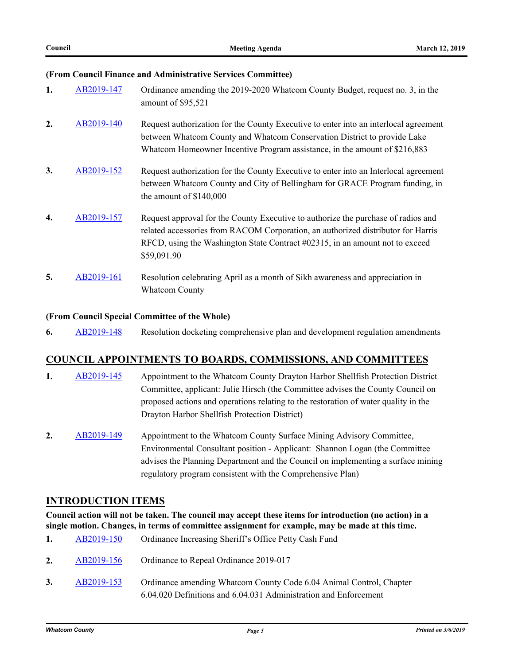#### **(From Council Finance and Administrative Services Committee)**

| 1. | AB2019-147 | Ordinance amending the 2019-2020 Whatcom County Budget, request no. 3, in the<br>amount of \$95,521                                                                                                                                                                  |
|----|------------|----------------------------------------------------------------------------------------------------------------------------------------------------------------------------------------------------------------------------------------------------------------------|
| 2. | AB2019-140 | Request authorization for the County Executive to enter into an interlocal agreement<br>between Whatcom County and Whatcom Conservation District to provide Lake<br>Whatcom Homeowner Incentive Program assistance, in the amount of \$216,883                       |
| 3. | AB2019-152 | Request authorization for the County Executive to enter into an Interlocal agreement<br>between Whatcom County and City of Bellingham for GRACE Program funding, in<br>the amount of $$140,000$                                                                      |
| 4. | AB2019-157 | Request approval for the County Executive to authorize the purchase of radios and<br>related accessories from RACOM Corporation, an authorized distributor for Harris<br>RFCD, using the Washington State Contract #02315, in an amount not to exceed<br>\$59,091.90 |
| 5. | AB2019-161 | Resolution celebrating April as a month of Sikh awareness and appreciation in<br><b>Whatcom County</b>                                                                                                                                                               |

#### **(From Council Special Committee of the Whole)**

**6.** [AB2019-148](http://whatcom.legistar.com/gateway.aspx?m=l&id=/matter.aspx?key=2168) Resolution docketing comprehensive plan and development regulation amendments

#### **COUNCIL APPOINTMENTS TO BOARDS, COMMISSIONS, AND COMMITTEES**

- 1. [AB2019-145](http://whatcom.legistar.com/gateway.aspx?m=l&id=/matter.aspx?key=2163) Appointment to the Whatcom County Drayton Harbor Shellfish Protection District Committee, applicant: Julie Hirsch (the Committee advises the County Council on proposed actions and operations relating to the restoration of water quality in the Drayton Harbor Shellfish Protection District)
- **2.** [AB2019-149](http://whatcom.legistar.com/gateway.aspx?m=l&id=/matter.aspx?key=2169) Appointment to the Whatcom County Surface Mining Advisory Committee, Environmental Consultant position - Applicant: Shannon Logan (the Committee advises the Planning Department and the Council on implementing a surface mining regulatory program consistent with the Comprehensive Plan)

#### **INTRODUCTION ITEMS**

**Council action will not be taken. The council may accept these items for introduction (no action) in a single motion. Changes, in terms of committee assignment for example, may be made at this time.**

| 1. | AB2019-150 | Ordinance Increasing Sheriff's Office Petty Cash Fund                                                                                   |
|----|------------|-----------------------------------------------------------------------------------------------------------------------------------------|
| 2. | AB2019-156 | Ordinance to Repeal Ordinance 2019-017                                                                                                  |
| 3. | AB2019-153 | Ordinance amending Whatcom County Code 6.04 Animal Control, Chapter<br>6.04.020 Definitions and 6.04.031 Administration and Enforcement |